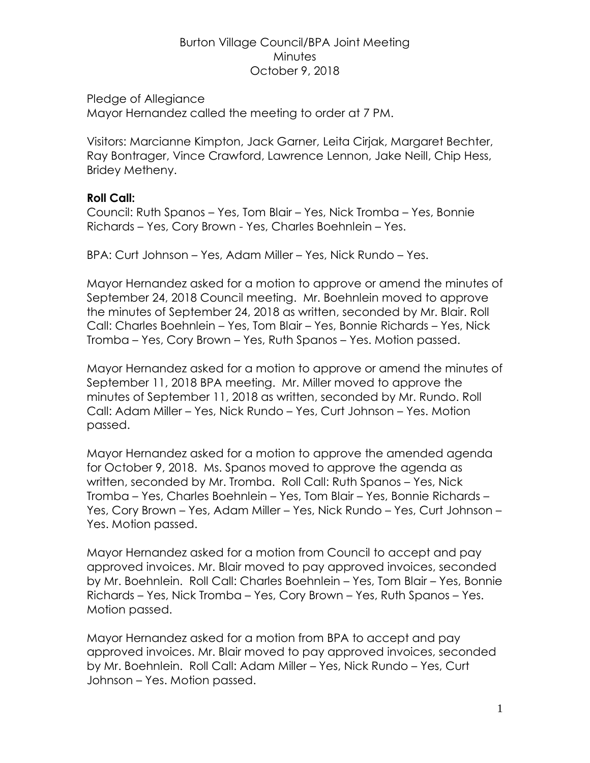#### Burton Village Council/BPA Joint Meeting **Minutes** October 9, 2018

Pledge of Allegiance

Mayor Hernandez called the meeting to order at 7 PM.

Visitors: Marcianne Kimpton, Jack Garner, Leita Cirjak, Margaret Bechter, Ray Bontrager, Vince Crawford, Lawrence Lennon, Jake Neill, Chip Hess, Bridey Metheny.

## **Roll Call:**

Council: Ruth Spanos – Yes, Tom Blair – Yes, Nick Tromba – Yes, Bonnie Richards – Yes, Cory Brown - Yes, Charles Boehnlein – Yes.

BPA: Curt Johnson – Yes, Adam Miller – Yes, Nick Rundo – Yes.

Mayor Hernandez asked for a motion to approve or amend the minutes of September 24, 2018 Council meeting. Mr. Boehnlein moved to approve the minutes of September 24, 2018 as written, seconded by Mr. Blair. Roll Call: Charles Boehnlein – Yes, Tom Blair – Yes, Bonnie Richards – Yes, Nick Tromba – Yes, Cory Brown – Yes, Ruth Spanos – Yes. Motion passed.

Mayor Hernandez asked for a motion to approve or amend the minutes of September 11, 2018 BPA meeting. Mr. Miller moved to approve the minutes of September 11, 2018 as written, seconded by Mr. Rundo. Roll Call: Adam Miller – Yes, Nick Rundo – Yes, Curt Johnson – Yes. Motion passed.

Mayor Hernandez asked for a motion to approve the amended agenda for October 9, 2018. Ms. Spanos moved to approve the agenda as written, seconded by Mr. Tromba. Roll Call: Ruth Spanos – Yes, Nick Tromba – Yes, Charles Boehnlein – Yes, Tom Blair – Yes, Bonnie Richards – Yes, Cory Brown – Yes, Adam Miller – Yes, Nick Rundo – Yes, Curt Johnson – Yes. Motion passed.

Mayor Hernandez asked for a motion from Council to accept and pay approved invoices. Mr. Blair moved to pay approved invoices, seconded by Mr. Boehnlein. Roll Call: Charles Boehnlein – Yes, Tom Blair – Yes, Bonnie Richards – Yes, Nick Tromba – Yes, Cory Brown – Yes, Ruth Spanos – Yes. Motion passed.

Mayor Hernandez asked for a motion from BPA to accept and pay approved invoices. Mr. Blair moved to pay approved invoices, seconded by Mr. Boehnlein. Roll Call: Adam Miller – Yes, Nick Rundo – Yes, Curt Johnson – Yes. Motion passed.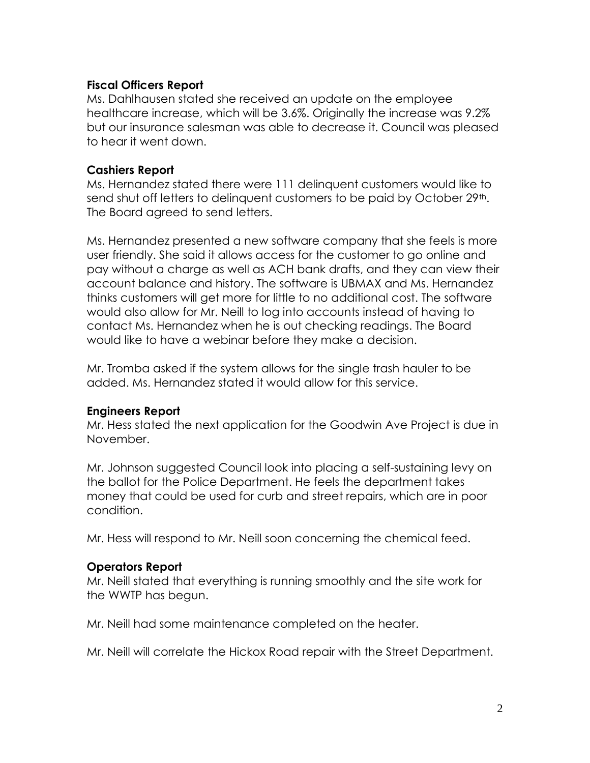#### **Fiscal Officers Report**

Ms. Dahlhausen stated she received an update on the employee healthcare increase, which will be 3.6%. Originally the increase was 9.2% but our insurance salesman was able to decrease it. Council was pleased to hear it went down.

#### **Cashiers Report**

Ms. Hernandez stated there were 111 delinquent customers would like to send shut off letters to delinguent customers to be paid by October 29<sup>th</sup>. The Board agreed to send letters.

Ms. Hernandez presented a new software company that she feels is more user friendly. She said it allows access for the customer to go online and pay without a charge as well as ACH bank drafts, and they can view their account balance and history. The software is UBMAX and Ms. Hernandez thinks customers will get more for little to no additional cost. The software would also allow for Mr. Neill to log into accounts instead of having to contact Ms. Hernandez when he is out checking readings. The Board would like to have a webinar before they make a decision.

Mr. Tromba asked if the system allows for the single trash hauler to be added. Ms. Hernandez stated it would allow for this service.

## **Engineers Report**

Mr. Hess stated the next application for the Goodwin Ave Project is due in November.

Mr. Johnson suggested Council look into placing a self-sustaining levy on the ballot for the Police Department. He feels the department takes money that could be used for curb and street repairs, which are in poor condition.

Mr. Hess will respond to Mr. Neill soon concerning the chemical feed.

## **Operators Report**

Mr. Neill stated that everything is running smoothly and the site work for the WWTP has begun.

Mr. Neill had some maintenance completed on the heater.

Mr. Neill will correlate the Hickox Road repair with the Street Department.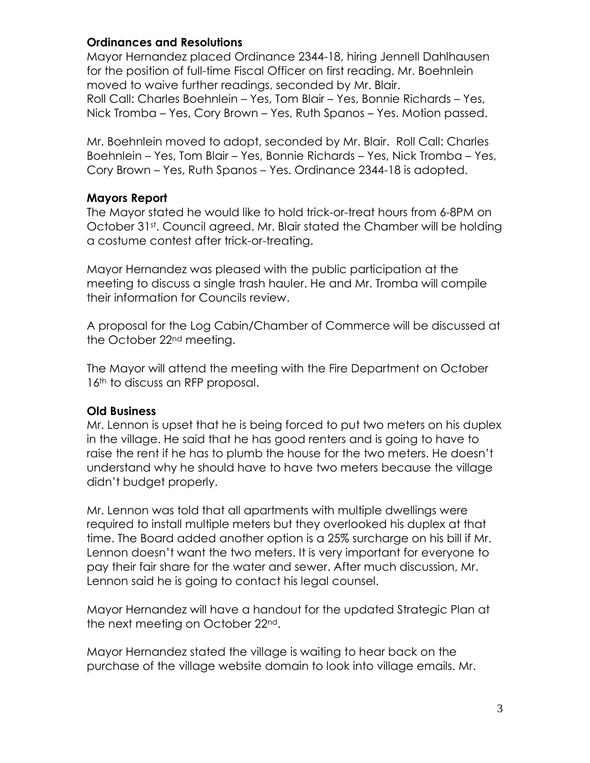## **Ordinances and Resolutions**

Mayor Hernandez placed Ordinance 2344-18, hiring Jennell Dahlhausen for the position of full-time Fiscal Officer on first reading. Mr. Boehnlein moved to waive further readings, seconded by Mr. Blair. Roll Call: Charles Boehnlein – Yes, Tom Blair – Yes, Bonnie Richards – Yes, Nick Tromba – Yes, Cory Brown – Yes, Ruth Spanos – Yes. Motion passed.

Mr. Boehnlein moved to adopt, seconded by Mr. Blair. Roll Call: Charles Boehnlein – Yes, Tom Blair – Yes, Bonnie Richards – Yes, Nick Tromba – Yes, Cory Brown – Yes, Ruth Spanos – Yes. Ordinance 2344-18 is adopted.

# **Mayors Report**

The Mayor stated he would like to hold trick-or-treat hours from 6-8PM on October 31st. Council agreed. Mr. Blair stated the Chamber will be holding a costume contest after trick-or-treating.

Mayor Hernandez was pleased with the public participation at the meeting to discuss a single trash hauler. He and Mr. Tromba will compile their information for Councils review.

A proposal for the Log Cabin/Chamber of Commerce will be discussed at the October 22<sup>nd</sup> meeting.

The Mayor will attend the meeting with the Fire Department on October 16<sup>th</sup> to discuss an RFP proposal.

# **Old Business**

Mr. Lennon is upset that he is being forced to put two meters on his duplex in the village. He said that he has good renters and is going to have to raise the rent if he has to plumb the house for the two meters. He doesn't understand why he should have to have two meters because the village didn't budget properly.

Mr. Lennon was told that all apartments with multiple dwellings were required to install multiple meters but they overlooked his duplex at that time. The Board added another option is a 25% surcharge on his bill if Mr. Lennon doesn't want the two meters. It is very important for everyone to pay their fair share for the water and sewer. After much discussion, Mr. Lennon said he is going to contact his legal counsel.

Mayor Hernandez will have a handout for the updated Strategic Plan at the next meeting on October 22nd.

Mayor Hernandez stated the village is waiting to hear back on the purchase of the village website domain to look into village emails. Mr.